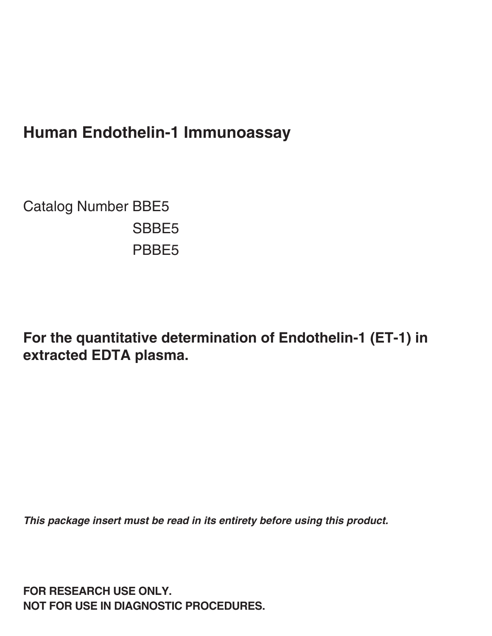# **Human Endothelin-1 Immunoassay**

Catalog Number BBE5 SBBE5 PBBE5

**For the quantitative determination of Endothelin-1 (ET-1) in extracted EDTA plasma.**

**This package insert must be read in its entirety before using this product.**

**FOR RESEARCH USE ONLY. NOT FOR USE IN DIAGNOSTIC PROCEDURES.**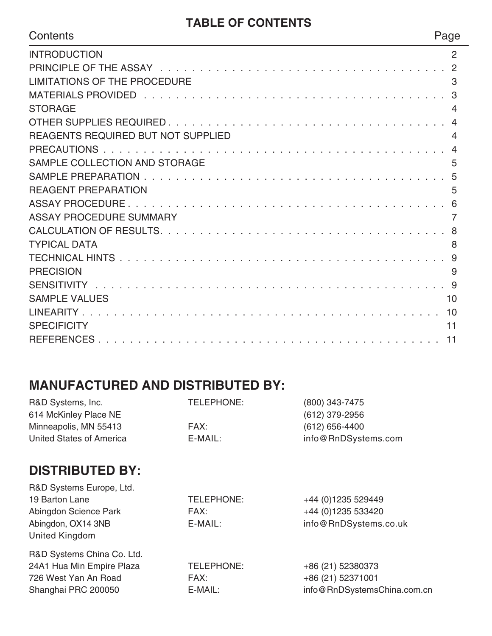#### **TABLE OF CONTENTS**

| Contents                                  | Page           |
|-------------------------------------------|----------------|
| <b>INTRODUCTION</b>                       | 2              |
|                                           |                |
| <b>LIMITATIONS OF THE PROCEDURE</b>       | 3              |
|                                           |                |
| <b>STORAGE</b>                            | $\overline{4}$ |
|                                           |                |
| <b>REAGENTS REQUIRED BUT NOT SUPPLIED</b> | $\overline{4}$ |
|                                           | $\overline{4}$ |
| SAMPLE COLLECTION AND STORAGE             | 5              |
|                                           |                |
| <b>REAGENT PREPARATION</b>                | 5              |
|                                           |                |
| <b>ASSAY PROCEDURE SUMMARY</b>            | $\overline{7}$ |
|                                           |                |
| <b>TYPICAL DATA</b>                       | 8              |
|                                           |                |
| <b>PRECISION</b>                          | 9              |
|                                           |                |
| <b>SAMPLE VALUES</b>                      | 10             |
|                                           |                |
| <b>SPECIFICITY</b>                        | 11             |
|                                           |                |

## **MANUFACTURED AND DISTRIBUTED BY:**

| R&D Systems, Inc.               | TELEPHONE: | (800) 343-7475              |
|---------------------------------|------------|-----------------------------|
| 614 McKinley Place NE           |            | (612) 379-2956              |
| Minneapolis, MN 55413           | FAX:       | $(612) 656 - 4400$          |
| <b>United States of America</b> | E-MAIL:    | info@RnDSystems.com         |
| <b>DISTRIBUTED BY:</b>          |            |                             |
| R&D Systems Europe, Ltd.        |            |                             |
| 19 Barton Lane                  | TELEPHONE: | +44 (0)1235 529449          |
| Abingdon Science Park           | FAX:       | +44 (0)1235 533420          |
| Abingdon, OX14 3NB              | E-MAIL:    | info@RnDSystems.co.uk       |
| United Kingdom                  |            |                             |
| R&D Systems China Co. Ltd.      |            |                             |
| 24A1 Hua Min Empire Plaza       | TELEPHONE: | +86 (21) 52380373           |
| 726 West Yan An Road            | FAX:       | +86 (21) 52371001           |
| Shanghai PRC 200050             | E-MAIL:    | info@RnDSystemsChina.com.cn |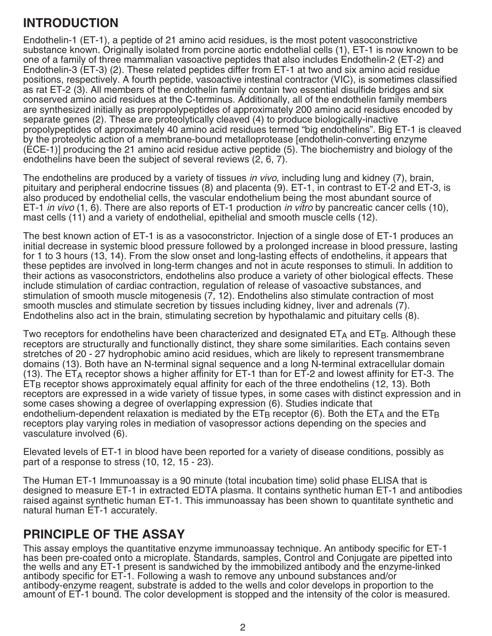#### **INTRODUCTION**

Endothelin-1 (ET-1), a peptide of 21 amino acid residues, is the most potent vasoconstrictive substance known. Originally isolated from porcine aortic endothelial cells (1), ET-1 is now known to be one of a family of three mammalian vasoactive peptides that also includes Endothelin-2 (ET-2) and Endothelin-3 (ET-3) (2). These related peptides differ from ET-1 at two and six amino acid residue positions, respectively. A fourth peptide, vasoactive intestinal contractor (VIC), is sometimes classified as rat ET-2 (3). All members of the endothelin family contain two essential disulfide bridges and six conserved amino acid residues at the C-terminus. Additionally, all of the endothelin family members are synthesized initially as prepropolypeptides of approximately 200 amino acid residues encoded by separate genes (2). These are proteolytically cleaved (4) to produce biologically-inactive propolypeptides of approximately 40 amino acid residues termed "big endothelins". Big ET-1 is cleaved by the proteolytic action of a membrane-bound metalloprotease [endothelin-converting enzyme (ECE-1)] producing the 21 amino acid residue active peptide (5). The biochemistry and biology of the endothelins have been the subject of several reviews (2, 6, 7).

The endothelins are produced by a variety of tissues in vivo, including lung and kidney (7), brain, pituitary and peripheral endocrine tissues (8) and placenta (9). ET-1, in contrast to ET-2 and ET-3, is also produced by endothelial cells, the vascular endothelium being the most abundant source of ET-1 in vivo  $(1, 6)$ . There are also reports of ET-1 production in vitro by pancreatic cancer cells (10), mast cells (11) and a variety of endothelial, epithelial and smooth muscle cells (12).

The best known action of ET-1 is as a vasoconstrictor. Injection of a single dose of ET-1 produces an initial decrease in systemic blood pressure followed by a prolonged increase in blood pressure, lasting for 1 to 3 hours (13, 14). From the slow onset and long-lasting effects of endothelins, it appears that these peptides are involved in long-term changes and not in acute responses to stimuli. In addition to their actions as vasoconstrictors, endothelins also produce a variety of other biological effects. These include stimulation of cardiac contraction, regulation of release of vasoactive substances, and stimulation of smooth muscle mitogenesis (7, 12). Endothelins also stimulate contraction of most smooth muscles and stimulate secretion by tissues including kidney, liver and adrenals (7). Endothelins also act in the brain, stimulating secretion by hypothalamic and pituitary cells (8).

Two receptors for endothelins have been characterized and designated ETA and ETB. Although these receptors are structurally and functionally distinct, they share some similarities. Each contains seven stretches of 20 - 27 hydrophobic amino acid residues, which are likely to represent transmembrane domains (13). Both have an N-terminal signal sequence and a long N-terminal extracellular domain (13). The  $ET_A$  receptor shows a higher affinity for  $ET-1$  than for  $ET-2$  and lowest affinity for  $ET-3$ . The ETB receptor shows approximately equal affinity for each of the three endothelins (12, 13). Both receptors are expressed in a wide variety of tissue types, in some cases with distinct expression and in some cases showing a degree of overlapping expression (6). Studies indicate that endothelium-dependent relaxation is mediated by the  $ET_B$  receptor (6). Both the  $ET_A$  and the  $ET_B$ receptors play varying roles in mediation of vasopressor actions depending on the species and vasculature involved (6).

Elevated levels of ET-1 in blood have been reported for a variety of disease conditions, possibly as part of a response to stress (10, 12, 15 - 23).

The Human ET-1 Immunoassay is a 90 minute (total incubation time) solid phase ELISA that is designed to measure ET-1 in extracted EDTA plasma. It contains synthetic human ET-1 and antibodies raised against synthetic human ET-1. This immunoassay has been shown to quantitate synthetic and natural human ET-1 accurately.

#### **PRINCIPLE OF THE ASSAY**

This assay employs the quantitative enzyme immunoassay technique. An antibody specific for ET-1 has been pre-coated onto a microplate. Standards, samples, Control and Conjugate are pipetted into the wells and any ET-1 present is sandwiched by the immobilized antibody and the enzyme-linked antibody specific for ET-1. Following a wash to remove any unbound substances and/or antibody-enzyme reagent, substrate is added to the wells and color develops in proportion to the amount of ET-1 bound. The color development is stopped and the intensity of the color is measured.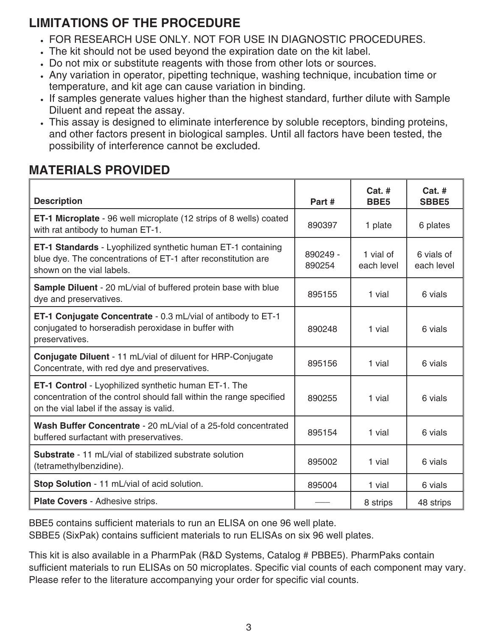## **LIMITATIONS OF THE PROCEDURE**

- FOR RESEARCH USE ONLY. NOT FOR USE IN DIAGNOSTIC PROCEDURES.
- The kit should not be used beyond the expiration date on the kit label.
- Do not mix or substitute reagents with those from other lots or sources.
- Any variation in operator, pipetting technique, washing technique, incubation time or temperature, and kit age can cause variation in binding.
- If samples generate values higher than the highest standard, further dilute with Sample Diluent and repeat the assay.
- This assay is designed to eliminate interference by soluble receptors, binding proteins, and other factors present in biological samples. Until all factors have been tested, the possibility of interference cannot be excluded.

## **MATERIALS PROVIDED**

| <b>Description</b>                                                                                                                                                             | Part #             | $Cat.$ #<br>BBE <sub>5</sub> | $Cat.$ #<br><b>SBBE5</b> |
|--------------------------------------------------------------------------------------------------------------------------------------------------------------------------------|--------------------|------------------------------|--------------------------|
| <b>ET-1 Microplate</b> - 96 well microplate (12 strips of 8 wells) coated<br>with rat antibody to human ET-1.                                                                  | 890397             | 1 plate                      | 6 plates                 |
| ET-1 Standards - Lyophilized synthetic human ET-1 containing<br>blue dye. The concentrations of ET-1 after reconstitution are<br>shown on the vial labels.                     | 890249 -<br>890254 | 1 vial of<br>each level      | 6 vials of<br>each level |
| <b>Sample Diluent</b> - 20 mL/vial of buffered protein base with blue<br>dye and preservatives.                                                                                | 895155             | 1 vial                       | 6 vials                  |
| ET-1 Conjugate Concentrate - 0.3 mL/vial of antibody to ET-1<br>conjugated to horseradish peroxidase in buffer with<br>preservatives.                                          | 890248             | 1 vial                       | 6 vials                  |
| Conjugate Diluent - 11 mL/vial of diluent for HRP-Conjugate<br>Concentrate, with red dye and preservatives.                                                                    | 895156             | 1 vial                       | 6 vials                  |
| <b>ET-1 Control</b> - Lyophilized synthetic human ET-1. The<br>concentration of the control should fall within the range specified<br>on the vial label if the assay is valid. | 890255             | 1 vial                       | 6 vials                  |
| Wash Buffer Concentrate - 20 mL/vial of a 25-fold concentrated<br>buffered surfactant with preservatives.                                                                      | 895154             | 1 vial                       | 6 vials                  |
| <b>Substrate - 11 mL/vial of stabilized substrate solution</b><br>(tetramethylbenzidine).                                                                                      | 895002             | 1 vial                       | 6 vials                  |
| Stop Solution - 11 mL/vial of acid solution.                                                                                                                                   | 895004             | 1 vial                       | 6 vials                  |
| Plate Covers - Adhesive strips.                                                                                                                                                |                    | 8 strips                     | 48 strips                |

BBE5 contains sufficient materials to run an ELISA on one 96 well plate. SBBE5 (SixPak) contains sufficient materials to run ELISAs on six 96 well plates.

This kit is also available in a PharmPak (R&D Systems, Catalog # PBBE5). PharmPaks contain sufficient materials to run ELISAs on 50 microplates. Specific vial counts of each component may vary. Please refer to the literature accompanying your order for specific vial counts.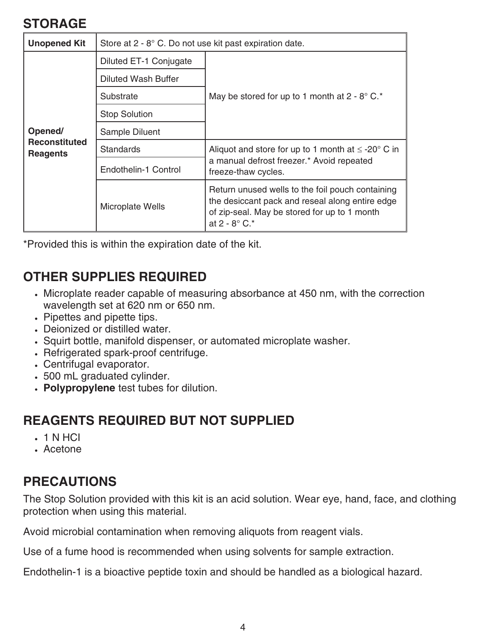#### **STORAGE**

| <b>Unopened Kit</b>                                | Store at 2 - 8° C. Do not use kit past expiration date. |                                                                                                                                                                               |  |  |  |
|----------------------------------------------------|---------------------------------------------------------|-------------------------------------------------------------------------------------------------------------------------------------------------------------------------------|--|--|--|
| Opened/<br><b>Reconstituted</b><br><b>Reagents</b> | Diluted ET-1 Conjugate                                  | May be stored for up to 1 month at $2 - 8^{\circ}$ C.*                                                                                                                        |  |  |  |
|                                                    | <b>Diluted Wash Buffer</b>                              |                                                                                                                                                                               |  |  |  |
|                                                    | Substrate                                               |                                                                                                                                                                               |  |  |  |
|                                                    | <b>Stop Solution</b>                                    |                                                                                                                                                                               |  |  |  |
|                                                    | Sample Diluent                                          |                                                                                                                                                                               |  |  |  |
|                                                    | <b>Standards</b>                                        | Aliquot and store for up to 1 month at $\leq$ -20 $^{\circ}$ C in                                                                                                             |  |  |  |
|                                                    | Endothelin-1 Control                                    | a manual defrost freezer.* Avoid repeated<br>freeze-thaw cycles.                                                                                                              |  |  |  |
|                                                    | Microplate Wells                                        | Return unused wells to the foil pouch containing<br>the desiccant pack and reseal along entire edge<br>of zip-seal. May be stored for up to 1 month<br>at $2 - 8^{\circ}$ C.* |  |  |  |

\*Provided this is within the expiration date of the kit.

## **OTHER SUPPLIES REQUIRED**

- Microplate reader capable of measuring absorbance at 450 nm, with the correction wavelength set at 620 nm or 650 nm.
- Pipettes and pipette tips.
- Deionized or distilled water.
- Squirt bottle, manifold dispenser, or automated microplate washer.
- Refrigerated spark-proof centrifuge.
- Centrifugal evaporator.
- 500 mL graduated cylinder.
- **Polypropylene** test tubes for dilution.

#### **REAGENTS REQUIRED BUT NOT SUPPLIED**

- 1 N HCI
- Acetone

## **PRECAUTIONS**

The Stop Solution provided with this kit is an acid solution. Wear eye, hand, face, and clothing protection when using this material.

Avoid microbial contamination when removing aliquots from reagent vials.

Use of a fume hood is recommended when using solvents for sample extraction.

Endothelin-1 is a bioactive peptide toxin and should be handled as a biological hazard.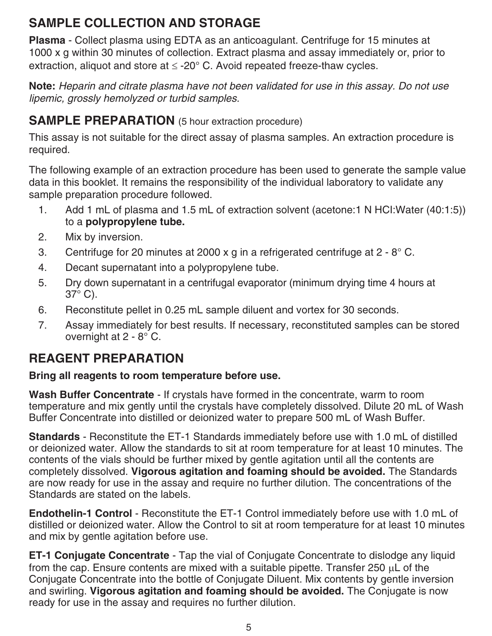## **SAMPLE COLLECTION AND STORAGE**

**Plasma** - Collect plasma using EDTA as an anticoagulant. Centrifuge for 15 minutes at 1000 x g within 30 minutes of collection. Extract plasma and assay immediately or, prior to extraction, aliquot and store at  $\leq$  -20 $^{\circ}$  C. Avoid repeated freeze-thaw cycles.

**Note:** Heparin and citrate plasma have not been validated for use in this assay. Do not use lipemic, grossly hemolyzed or turbid samples.

#### **SAMPLE PREPARATION** (5 hour extraction procedure)

This assay is not suitable for the direct assay of plasma samples. An extraction procedure is required.

The following example of an extraction procedure has been used to generate the sample value data in this booklet. It remains the responsibility of the individual laboratory to validate any sample preparation procedure followed.

- 1. Add 1 mL of plasma and 1.5 mL of extraction solvent (acetone:1 N HCI:Water (40:1:5)) to a **polypropylene tube.**
- 2. Mix by inversion.
- 3. Centrifuge for 20 minutes at 2000 x g in a refrigerated centrifuge at  $2 8^{\circ}$  C.
- 4. Decant supernatant into a polypropylene tube.
- 5. Dry down supernatant in a centrifugal evaporator (minimum drying time 4 hours at 37° C).
- 6. Reconstitute pellet in 0.25 mL sample diluent and vortex for 30 seconds.
- 7. Assay immediately for best results. If necessary, reconstituted samples can be stored overnight at 2 - 8° C.

#### **REAGENT PREPARATION**

#### **Bring all reagents to room temperature before use.**

**Wash Buffer Concentrate** - If crystals have formed in the concentrate, warm to room temperature and mix gently until the crystals have completely dissolved. Dilute 20 mL of Wash Buffer Concentrate into distilled or deionized water to prepare 500 mL of Wash Buffer.

**Standards** - Reconstitute the ET-1 Standards immediately before use with 1.0 mL of distilled or deionized water. Allow the standards to sit at room temperature for at least 10 minutes. The contents of the vials should be further mixed by gentle agitation until all the contents are completely dissolved. **Vigorous agitation and foaming should be avoided.** The Standards are now ready for use in the assay and require no further dilution. The concentrations of the Standards are stated on the labels.

**Endothelin-1 Control** - Reconstitute the ET-1 Control immediately before use with 1.0 mL of distilled or deionized water. Allow the Control to sit at room temperature for at least 10 minutes and mix by gentle agitation before use.

**ET-1 Conjugate Concentrate** - Tap the vial of Conjugate Concentrate to dislodge any liquid from the cap. Ensure contents are mixed with a suitable pipette. Transfer 250  $\mu$ L of the Conjugate Concentrate into the bottle of Conjugate Diluent. Mix contents by gentle inversion and swirling. **Vigorous agitation and foaming should be avoided.** The Conjugate is now ready for use in the assay and requires no further dilution.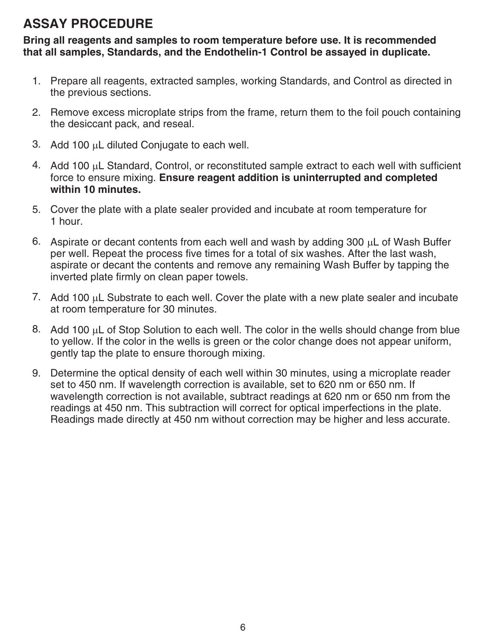## **ASSAY PROCEDURE**

**Bring all reagents and samples to room temperature before use. It is recommended that all samples, Standards, and the Endothelin-1 Control be assayed in duplicate.**

- 1. Prepare all reagents, extracted samples, working Standards, and Control as directed in the previous sections.
- 2. Remove excess microplate strips from the frame, return them to the foil pouch containing the desiccant pack, and reseal.
- 3. Add 100  $\mu$ L diluted Conjugate to each well.
- 4. Add 100  $\mu$ L Standard, Control, or reconstituted sample extract to each well with sufficient force to ensure mixing. **Ensure reagent addition is uninterrupted and completed within 10 minutes.**
- 5. Cover the plate with a plate sealer provided and incubate at room temperature for 1 hour.
- 6. Aspirate or decant contents from each well and wash by adding 300  $\mu$ L of Wash Buffer per well. Repeat the process five times for a total of six washes. After the last wash, aspirate or decant the contents and remove any remaining Wash Buffer by tapping the inverted plate firmly on clean paper towels.
- 7. Add 100  $\mu$ L Substrate to each well. Cover the plate with a new plate sealer and incubate at room temperature for 30 minutes.
- 8. Add 100  $\mu$ L of Stop Solution to each well. The color in the wells should change from blue to yellow. If the color in the wells is green or the color change does not appear uniform, gently tap the plate to ensure thorough mixing.
- 9. Determine the optical density of each well within 30 minutes, using a microplate reader set to 450 nm. If wavelength correction is available, set to 620 nm or 650 nm. If wavelength correction is not available, subtract readings at 620 nm or 650 nm from the readings at 450 nm. This subtraction will correct for optical imperfections in the plate. Readings made directly at 450 nm without correction may be higher and less accurate.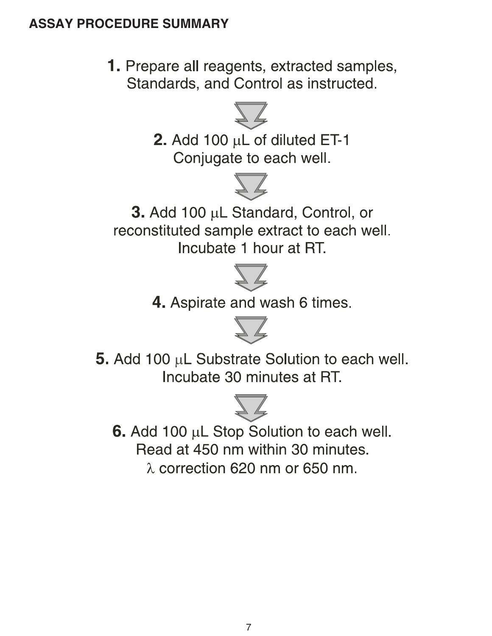#### **ASSAY PROCEDURE SUMMARY**



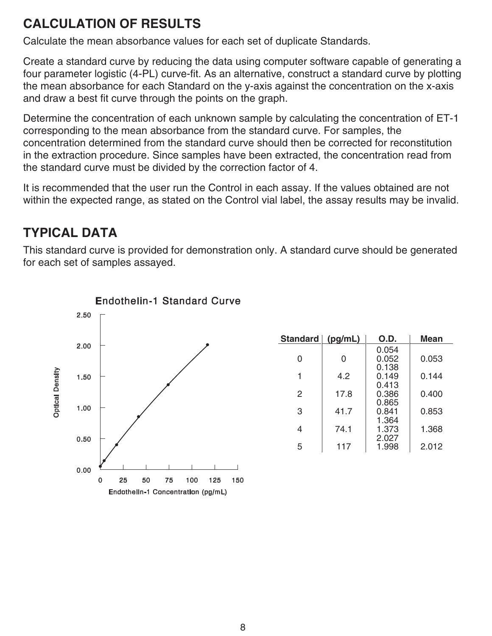## **CALCULATION OF RESULTS**

Calculate the mean absorbance values for each set of duplicate Standards.

Create a standard curve by reducing the data using computer software capable of generating a four parameter logistic (4-PL) curve-fit. As an alternative, construct a standard curve by plotting the mean absorbance for each Standard on the y-axis against the concentration on the x-axis and draw a best fit curve through the points on the graph.

Determine the concentration of each unknown sample by calculating the concentration of ET-1 corresponding to the mean absorbance from the standard curve. For samples, the concentration determined from the standard curve should then be corrected for reconstitution in the extraction procedure. Since samples have been extracted, the concentration read from the standard curve must be divided by the correction factor of 4.

It is recommended that the user run the Control in each assay. If the values obtained are not within the expected range, as stated on the Control vial label, the assay results may be invalid.

## **TYPICAL DATA**

This standard curve is provided for demonstration only. A standard curve should be generated for each set of samples assayed.



| <b>Standard</b> | (pg/mL) | O.D.                    | Mean  |
|-----------------|---------|-------------------------|-------|
| 0               | 0       | 0.054<br>0.052<br>0.138 | 0.053 |
|                 | 4.2     | 0.149<br>0.413          | 0.144 |
| 2               | 17.8    | 0.386<br>0.865          | 0.400 |
| 3               | 41.7    | 0.841<br>1.364          | 0.853 |
| 4               | 74.1    | 1.373<br>2.027          | 1.368 |
| 5               | 117     | 1.998                   | 2.012 |

#### **Endothelin-1 Standard Curve**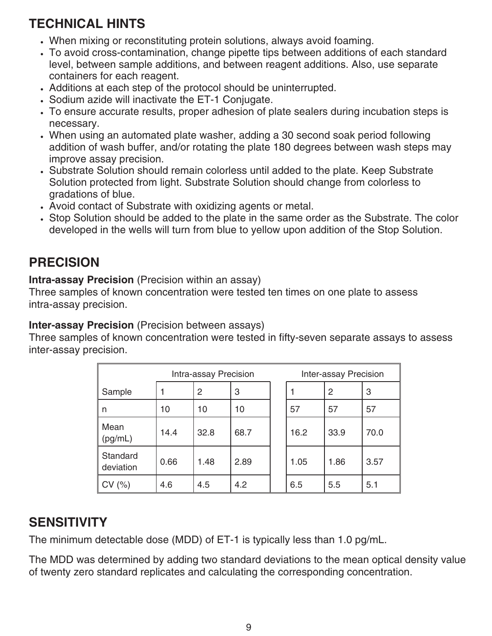## **TECHNICAL HINTS**

- When mixing or reconstituting protein solutions, always avoid foaming.
- To avoid cross-contamination, change pipette tips between additions of each standard level, between sample additions, and between reagent additions. Also, use separate containers for each reagent.
- Additions at each step of the protocol should be uninterrupted.
- Sodium azide will inactivate the ET-1 Conjugate.
- To ensure accurate results, proper adhesion of plate sealers during incubation steps is necessary.
- When using an automated plate washer, adding a 30 second soak period following addition of wash buffer, and/or rotating the plate 180 degrees between wash steps may improve assay precision.
- Substrate Solution should remain colorless until added to the plate. Keep Substrate Solution protected from light. Substrate Solution should change from colorless to gradations of blue.
- Avoid contact of Substrate with oxidizing agents or metal.
- Stop Solution should be added to the plate in the same order as the Substrate. The color developed in the wells will turn from blue to yellow upon addition of the Stop Solution.

## **PRECISION**

**Intra-assay Precision** (Precision within an assay)

Three samples of known concentration were tested ten times on one plate to assess intra-assay precision.

#### **Inter-assay Precision** (Precision between assays)

Three samples of known concentration were tested in fifty-seven separate assays to assess inter-assay precision.

| Intra-assay Precision |      |      | Inter-assay Precision |      |      |      |
|-----------------------|------|------|-----------------------|------|------|------|
| Sample                |      | 2    | 3                     |      | 2    | 3    |
| n                     | 10   | 10   | 10                    | 57   | 57   | 57   |
| Mean<br>(pg/mL)       | 14.4 | 32.8 | 68.7                  | 16.2 | 33.9 | 70.0 |
| Standard<br>deviation | 0.66 | 1.48 | 2.89                  | 1.05 | 1.86 | 3.57 |
| CV (%)                | 4.6  | 4.5  | 4.2                   | 6.5  | 5.5  | 5.1  |

## **SENSITIVITY**

The minimum detectable dose (MDD) of ET-1 is typically less than 1.0 pg/mL.

The MDD was determined by adding two standard deviations to the mean optical density value of twenty zero standard replicates and calculating the corresponding concentration.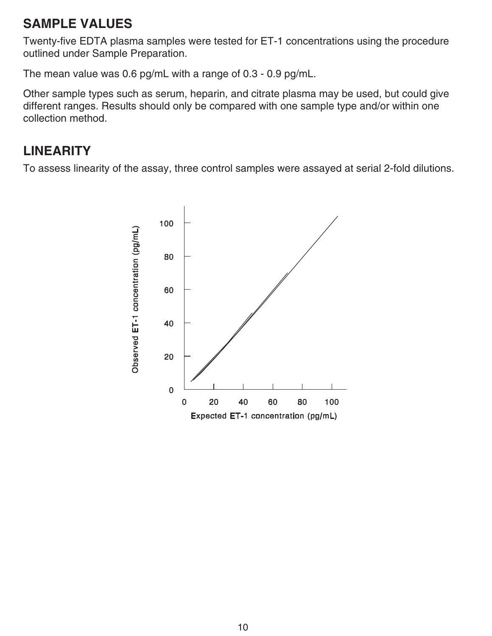#### **SAMPLE VALUES**

Twenty-five EDTA plasma samples were tested for ET-1 concentrations using the procedure outlined under Sample Preparation.

The mean value was 0.6 pg/mL with a range of 0.3 - 0.9 pg/mL.

Other sample types such as serum, heparin, and citrate plasma may be used, but could give different ranges. Results should only be compared with one sample type and/or within one collection method.

## **LINEARITY**

To assess linearity of the assay, three control samples were assayed at serial 2-fold dilutions.